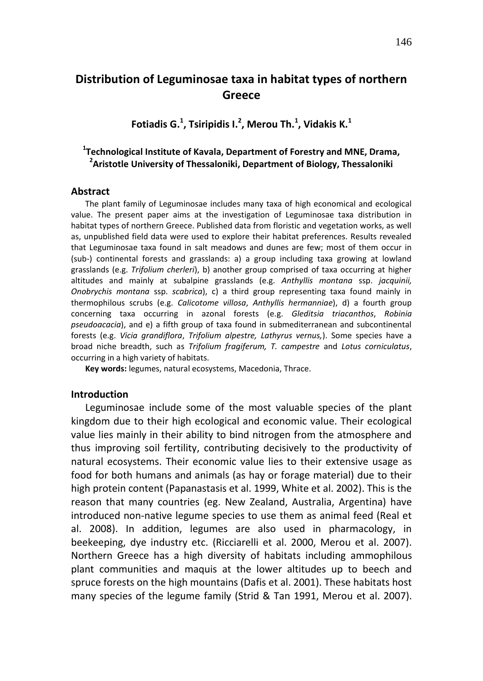# **Distribution of Leguminosae taxa in habitat types of northern Greece**

**Fotiadis G.<sup>1</sup> , Tsiripidis I.<sup>2</sup> , Merou Th.<sup>1</sup> , Vidakis K.<sup>1</sup>**

## **1 Technological Institute of Kavala, Department of Forestry and MNE, Drama, 2 Aristotle University of Thessaloniki, Department of Biology, Thessaloniki**

#### **Abstract**

The plant family of Leguminosae includes many taxa of high economical and ecological value. The present paper aims at the investigation of Leguminosae taxa distribution in habitat types of northern Greece. Published data from floristic and vegetation works, as well as, unpublished field data were used to explore their habitat preferences. Results revealed that Leguminosae taxa found in salt meadows and dunes are few; most of them occur in (sub-) continental forests and grasslands: a) a group including taxa growing at lowland grasslands (e.g. *Trifolium cherleri*), b) another group comprised of taxa occurring at higher altitudes and mainly at subalpine grasslands (e.g. *Anthyllis montana* ssp. *jacquinii, Onobrychis montana* ssp. *scabrica*), c) a third group representing taxa found mainly in thermophilous scrubs (e.g. *Calicotome villosa*, *Anthyllis hermanniae*), d) a fourth group concerning taxa occurring in azonal forests (e.g. *Gleditsia triacanthos*, *Robinia pseudoacacia*), and e) a fifth group of taxa found in submediterranean and subcontinental forests (e.g. *Vicia grandiflora*, *Trifolium alpestre, Lathyrus vernus,*). Some species have a broad niche breadth, such as *Trifolium fragiferum, T. campestre* and *Lotus corniculatus*, occurring in a high variety of habitats.

**Key words:** legumes, natural ecosystems, Macedonia, Thrace.

#### **Introduction**

Leguminosae include some of the most valuable species of the plant kingdom due to their high ecological and economic value. Their ecological value lies mainly in their ability to bind nitrogen from the atmosphere and thus improving soil fertility, contributing decisively to the productivity of natural ecosystems. Their economic value lies to their extensive usage as food for both humans and animals (as hay or forage material) due to their high protein content (Papanastasis et al. 1999, White et al. 2002). This is the reason that many countries (eg. New Zealand, Australia, Argentina) have introduced non-native legume species to use them as animal feed (Real et al. 2008). In addition, legumes are also used in pharmacology, in beekeeping, dye industry etc. (Ricciarelli et al. 2000, Merou et al. 2007). Northern Greece has a high diversity of habitats including ammophilous plant communities and maquis at the lower altitudes up to beech and spruce forests on the high mountains (Dafis et al. 2001). These habitats host many species of the legume family (Strid & Tan 1991, Merou et al. 2007).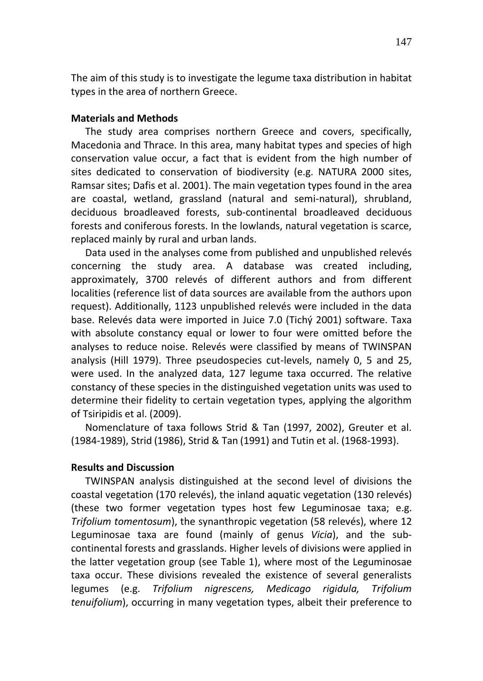The aim of this study is to investigate the legume taxa distribution in habitat types in the area of northern Greece.

### **Materials and Methods**

The study area comprises northern Greece and covers, specifically, Macedonia and Thrace. In this area, many habitat types and species of high conservation value occur, a fact that is evident from the high number of sites dedicated to conservation of biodiversity (e.g. NATURA 2000 sites, Ramsar sites; Dafis et al. 2001). The main vegetation types found in the area are coastal, wetland, grassland (natural and semi-natural), shrubland, deciduous broadleaved forests, sub-continental broadleaved deciduous forests and coniferous forests. In the lowlands, natural vegetation is scarce, replaced mainly by rural and urban lands.

Data used in the analyses come from published and unpublished relevés concerning the study area. A database was created including, approximately, 3700 relevés of different authors and from different localities (reference list of data sources are available from the authors upon request). Additionally, 1123 unpublished relevés were included in the data base. Relevés data were imported in Juice 7.0 (Tichý 2001) software. Taxa with absolute constancy equal or lower to four were omitted before the analyses to reduce noise. Relevés were classified by means of TWINSPAN analysis (Hill 1979). Three pseudospecies cut-levels, namely 0, 5 and 25, were used. In the analyzed data, 127 legume taxa occurred. The relative constancy of these species in the distinguished vegetation units was used to determine their fidelity to certain vegetation types, applying the algorithm of Tsiripidis et al. (2009).

Nomenclature of taxa follows Strid & Tan (1997, 2002), Greuter et al. (1984-1989), Strid (1986), Strid & Tan (1991) and Tutin et al. (1968-1993).

### **Results and Discussion**

TWINSPAN analysis distinguished at the second level of divisions the coastal vegetation (170 relevés), the inland aquatic vegetation (130 relevés) (these two former vegetation types host few Leguminosae taxa; e.g. *Trifolium tomentosum*), the synanthropic vegetation (58 relevés), where 12 Leguminosae taxa are found (mainly of genus *Vicia*), and the subcontinental forests and grasslands. Higher levels of divisions were applied in the latter vegetation group (see Table 1), where most of the Leguminosae taxa occur. These divisions revealed the existence of several generalists legumes (e.g. *Trifolium nigrescens, Medicago rigidula, Trifolium tenuifolium*), occurring in many vegetation types, albeit their preference to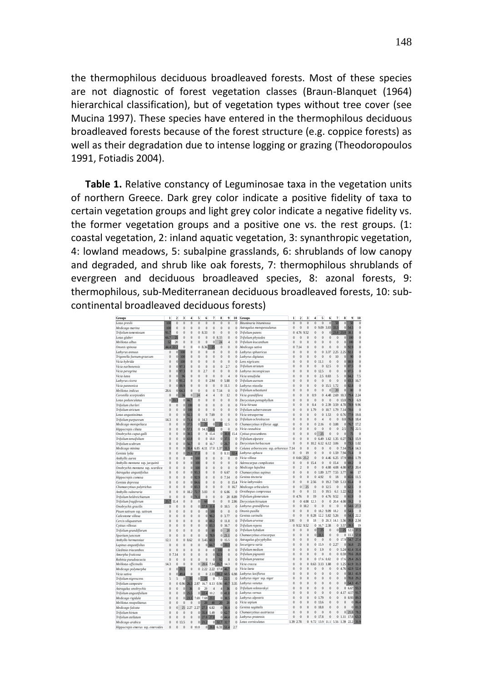the thermophilous deciduous broadleaved forests. Most of these species are not diagnostic of forest vegetation classes (Braun-Blanquet (1964) hierarchical classification), but of vegetation types without tree cover (see Mucina 1997). These species have entered in the thermophilous deciduous broadleaved forests because of the forest structure (e.g. coppice forests) as well as their degradation due to intense logging or grazing (Theodoropoulos 1991, Fotiadis 2004).

**Table 1.** Relative constancy of Leguminosae taxa in the vegetation units of northern Greece. Dark grey color indicate a positive fidelity of taxa to certain vegetation groups and light grey color indicate a negative fidelity vs. the former vegetation groups and a positive one vs. the rest groups. (1: coastal vegetation, 2: inland aquatic vegetation, 3: synanthropic vegetation, 4: lowland meadows, 5: subalpine grasslands, 6: shrublands of low canopy and degraded, and shrub like oak forests, 7: thermophilous shrublands of evergreen and deciduous broadleaved species, 8: azonal forests, 9: thermophilous, sub-Mediterranean deciduous broadleaved forests, 10: subcontinental broadleaved deciduous forests)

| Groups                            | 1                         | 2                   | 3                       | 4                            | 5                   | 6                    | 7                   | 8               | 9                | 10             | Groups                                 | $\mathbf{1}$   | $\overline{2}$ | 3                          | 4              | 5                       | 6                   | $\overline{7}$       | 8                               | 9<br>10                |
|-----------------------------------|---------------------------|---------------------|-------------------------|------------------------------|---------------------|----------------------|---------------------|-----------------|------------------|----------------|----------------------------------------|----------------|----------------|----------------------------|----------------|-------------------------|---------------------|----------------------|---------------------------------|------------------------|
| Lotus preslii                     | 100                       | $\bf{0}$            | $\bf{0}$                | $\overline{0}$               | $\bf{0}$            | Ō                    | $\bf{0}$            | $\theta$        | $\mathbf{0}$     | $\bf{0}$       | Bituminaria bituminosa                 | $\overline{0}$ | $\theta$       |                            | $\bf{0}$       | $\bf{0}$                | $\Omega$            | $50^{\circ}$         | $\alpha$<br>4                   | $\theta$               |
| Medicago marina                   | 100                       | $\bf{0}$            | $\bf{0}$                | $\overline{0}$               | $\bf{0}$            | $\ddot{\mathbf{0}}$  | $\bf{0}$            | $\theta$        | $\bf{0}$         | $\bf{0}$       | Astragalus monspessulanus              | $\theta$       | $\mathbf{0}$   | 0                          | $\bf{0}$       | $\mathbf Q$<br>.09      | .03<br>$\mathbf{a}$ | 33.3                 | $\overline{0}$<br>54.5          | $\theta$               |
| Trifolium tomentosum              | 91.7                      | $\theta$            | $\theta$                | $\overline{0}$               | $\bf{0}$            | 33<br>s              | $\theta$            | $\theta$        | $\bf{0}$         | $\bf{0}$       | Trifolium patens                       | $\bf{0}$       | 76             | 52<br>$\circ$              | $\bf{0}$       | $\theta$                | $\theta$            | 23.8                 | 381<br>23.8                     | $\bf{0}$               |
| Lotus glaber                      | 66.7                      | 25                  | $\overline{0}$          | $\bf{0}$                     | Ō                   | 0                    | $\bf{0}$            | 8.33            | $\theta$         | $\Omega$       | Trifolium physodes                     | $\theta$       | $\Omega$       | Ō                          | 0              | $\theta$                | $\bf{0}$            | $\theta$             | Ō<br>100                        | $\theta$               |
| Melilotus albus                   | 52                        | 20                  | $\overline{0}$          | $\overline{0}$               | $\bf{0}$            | $\ddot{\mathbf{0}}$  | $\theta$            | 24              | $\overline{4}$   | $\bf{0}$       | Trifolium leucanthum                   | $\mathbf 0$    | $\theta$       | 0                          | $\mathbf{0}$   | $\theta$                | $\Omega$            | $\theta$             | $\overline{0}$<br>100           | $\ddot{\mathbf{0}}$    |
| Ononis spinosa                    | 444                       |                     | $\theta$                | $\overline{0}$               | $\theta$            | $\frac{36}{26}$<br>۶ |                     | $\theta$        | $\theta$         | $\theta$       | Medicago sativa                        | $\bf{0}$       | 14             | $\alpha$                   | $\theta$       | $\theta$                | $\theta$            | $\theta$             | $\alpha$<br>92.S                | $\theta$               |
| Lathyrus annuus                   | 0                         | $\theta$            | 100                     | $\bf{0}$                     | Ō                   | 0                    | $\theta$            | $\theta$        | $\theta$         | $\Omega$       | Lathyrus sphaericus                    | $\mathbf 0$    | $\theta$       | Ō                          | Ō              | $\theta$                | 37<br>3             | 2.25                 | 2.25<br>92.1                    | $\bf{0}$               |
| Trigonella foenum-graecum         | 0                         | $\theta$            | 100                     | $\overline{0}$               | $\bf{0}$            | $\ddot{\mathbf{0}}$  | $\theta$            | $\bf{0}$        | $\theta$         | $\Omega$       | Lathyrus digitatus                     | $\theta$       | $\theta$       | $\alpha$                   | $\bf{0}$       | $\theta$                | $\theta$            | 10                   | $\alpha$<br>$\alpha$            | $\bf{0}$               |
| Vicia hybrida                     | $\overline{0}$            | $\theta$            | 100                     | $\overline{0}$               | $\theta$            | $\ddot{\mathbf{0}}$  | $\theta$            | $\bf{0}$        | $\theta$         | $\bf{0}$       | Lens nigricans                         | $\mathbf 0$    | $\theta$       | Ō                          | $\bf{0}$       | $\mathbf{I}$            | $\theta$            | $\theta$             | $\overline{0}$<br><b>88.9</b>   | $\theta$               |
| Vicia narbonensis                 | $\overline{0}$            | $\ddot{\mathbf{0}}$ | 97.                     | $\overline{0}$               | $\bf{0}$            | 0                    | $\ddot{\mathbf{0}}$ | $\mathbf{0}$    | 2.7              | $\bf{0}$       | Trifolium striatum                     | $\overline{0}$ | $\theta$       | $\ddot{\mathbf{0}}$        | $\mathbf{0}$   | $\theta$                | 12.5                | $\bf{0}$             | 87.5<br>$\overline{0}$          | $\ddot{\mathbf{0}}$    |
| Vicia peregrina                   | $\overline{0}$            | $\theta$            | 97.3                    | $\overline{0}$               | $\bf{0}$            | 2.7                  | $\theta$            | $\theta$        | $\theta$         | $\mathbf{0}$   | Lathyrus inconspicuus                  | $\theta$       | $\theta$       | $\ddot{\mathbf{0}}$        | $\mathbf{0}$   | 12.5                    | $\Omega$            | $\theta$             | $0$ 87.5                        | $\theta$               |
| Vicia lutea                       | $\overline{0}$            | $\theta$            | $Q_1$                   | $\Omega$                     | $\theta$            | 0                    | $\theta$            | $\bf{0}$        | $\overline{4}$   | $\Omega$       | Vicia tenuifolia                       | $\theta$       | $\theta$       | Ō                          | $\mathbf{0}$   | 2.5                     | 0.83                | 5                    | $\overline{0}$<br>84.2          | 7.5                    |
| Lathyrus cicera                   | $\mathbf 0$               | $\theta$            | 91.2                    | $\overline{0}$               | $\bf{0}$            | 0                    | 94<br>э             | $\mathbf{0}$    | 5.88             | $\bf{0}$       | Trifolium aureum                       | $\theta$       | $\theta$       | $\alpha$                   | $\theta$       | $\theta$                | $\theta$            | $\theta$             | οI<br>83.3                      | 16.7                   |
| Vicia pannonica                   | $\alpha$                  | $\theta$            | 88<                     | $\overline{0}$               | $\bf{0}$            | $\ddot{\mathbf{0}}$  | $\theta$            | $\Omega$        | 111              | $\theta$       | Lathyrus nissolia                      | $\mathbf 0$    | $\theta$       |                            | $\theta$       | $\bf{0}$                | 15.5 1.72           |                      | 82.8<br>$\Omega$                | $\theta$               |
| Melilotus indicus                 | 28.6                      | $\bf{0}$            | 64.3                    | $\bf{0}$                     | $\bf{0}$            | 0                    | $\bf{0}$            | 14              | $\bf{0}$         | $\bf{0}$       | Trifolium sebastianii                  | $\mathbf 0$    | $\theta$       | $\ddot{\mathbf{0}}$        | $\bf{0}$       | $\theta$                | $\Omega$            | 20                   | $\overline{0}$<br>$\mathbf{8}$  | $\theta$               |
| Coronilla scorpioides             | $\alpha$                  | $\theta$            | $\overline{\mathbf{S}}$ | $\theta$                     | 24                  | 4                    | $\Delta$            | $\theta$        | $12 \frac{1}{2}$ | $\Omega$       | Vicia grandiflora                      | $\theta$       | $\theta$       | Ō                          | 0.9            | $\theta$                | 4.48                | 2.69                 | 10.3<br>79.4                    | 2.24                   |
| Lotus pedunculatus                | $\ddot{\mathbf{0}}$       |                     |                         | 66.                          | Ō                   | $\ddot{\mathbf{0}}$  | $\theta$            | $\theta$        | $\theta$         | $\Omega$       | Dorycnium pentaphyllum                 | $\mathbf 0$    | $\theta$       |                            | $\theta$       | Ō                       |                     | $\bf{0}$             | 13.8<br>79 <sup>°</sup>         | 6.9                    |
| Trifolium cherleri                | 0                         | $\theta$            |                         | 10                           | $\ddot{\mathbf{0}}$ | $\ddot{\mathbf{0}}$  | $\theta$            | $\bf{0}$        | $\bf{0}$         | $\bf{0}$       | Vicia hirsuta                          | $\mathbf 0$    | $\theta$       | Ō                          | 0.4            | $\Omega$                | 2.39                | 3.59                 | 78.9<br>4.78                    | 9.96                   |
| Trifolium strictum                | $\alpha$                  | $\theta$            |                         | 10 <sup>6</sup>              | Ō                   | $\alpha$             | $\theta$            | $\theta$        | $\theta$         | $\Omega$       | Trifolium subterraneum                 | $\theta$       | $\theta$       | Ō                          | 1.79           | $\theta$                | 107                 | 179                  | 714<br>786                      | $\theta$               |
| Lotus angustissimus               | $\alpha$                  | $\theta$            |                         | 92                           | Ō                   | $\ddot{\mathbf{0}}$  | 7.69                | $\bf{0}$        | $\theta$         | $\Omega$       | Vicia tetrasperma                      | $\theta$       | $\mathbf{0}$   | $\theta$                   | $\theta$       | $\theta$                | 1.53                | $\mathbf{0}$         | 0.76<br><b>77.9</b>             | 19.8                   |
| Trifolium purpureum               | 14.3                      | $\theta$            | $\mathbf{0}$            | 71.                          |                     | 0.14.3               | $\theta$            | $\,0$           | $\bf{0}$         | $\bf{0}$       | Trifolium ochroleucon                  | $\mathbf 0$    | $\theta$       | Ō                          | $\theta$       | 4                       | $\Omega$            | $\bf{0}$             | 0.8<br>76.8                     | 18.4                   |
| Medicago monspeliaca              | $\alpha$                  | $\theta$            | $\theta$                | 37'                          | οI                  | $\mathcal{P}$        | $\theta$            | 25 <sub>1</sub> | 12.5             | $\Omega$       | Chamaecytisus triflorus aggr.          | $\mathbf 0$    | $\theta$       | Ō                          | $\bf{0}$       | $\mathfrak{D}$<br>16    | $\mathbf{0}$        | 3.88                 | $\Omega$<br>76.7                | 17.2                   |
| Hippocrepis ciliata               | $\overline{0}$            | $\theta$            | $\theta$                | 57.                          | $\Omega$            | 14.3                 | 28.6                | $\theta$        | $\theta$         | $\bf{0}$       | Vicia cassubica                        | $\mathbf 0$    | $\theta$       | $\theta$                   | ö              | $\theta$                | $\overline{0}$      | $\theta$             | 25<br>75                        | 22.5                   |
| Onobrychis caput-galli            | $\overline{0}$            | $\theta$            | $\Omega$                | 38.                          | Ō                   | $\bf{0}$             | 15.4                | $\Omega$        | 30.8             | 15.4           | Cytisus procumbens                     | $\theta$       | $\theta$       | Ō                          | $\mathbf{0}$   | 25                      | $\bf{0}$            | $\theta$             | $\overline{0}$<br>75            | $\theta$               |
| Trifolium tenuifolium             | $\overline{0}$            | $\theta$            | $\Omega$                | 43.                          | $\theta$            | $\ddot{\mathbf{0}}$  | 18.8                | $\vert$         | 37.5             | $\Omega$       | Trifolium alpestre                     | $\theta$       | $\mathbf{0}$   | $\ddot{\mathbf{0}}$        | $\mathbf{0}$   | 6.49                    | 1.62                | 1.35                 | 27<br>74.3<br>$\theta$          | 15.9                   |
| Trifolium scabrum                 | $\alpha$                  | $\theta$            | $\theta$                | 56.                          | $\bf{0}$            | $\ddot{\mathbf{0}}$  | 16.7                | $\vert$         | 26.7             | $\theta$       | Dorycnium herbaceum                    | $\theta$       | $\mathbf{0}$   | $\theta$                   | $\overline{2}$ | 6.12                    | 6.12                | 3.06                 | 73.5<br>$\Omega$                | 1.02                   |
| Medicago minima                   | $\overline{0}$            | $\theta$            | $\Omega$                | 38.4                         | 6.85                | 4 1 1                | 17.8                | 1.37            | 31.5             | $\Omega$       | Colutea arborescens ssp. arboresce: 7. | 14             | $\overline{0}$ | $\ddot{\mathbf{0}}$        | Ō              |                         | $\Omega$            | $\Omega$             | 71.4<br>7.14                    | 14.3                   |
| Genista Ivdia                     | $\overline{0}$            | $\bf{0}$            | $\mathbf{0}$            | 21.6                         | 37.5                | Ō                    | $\theta$            | $\Omega$        | 8.11             |                | Lathyrus aphaca                        | $\theta$       | $\theta$       | 19                         | $\mathbf{0}$   | $\theta$                | $\,0\,$             | 1.59                 | 71.4<br>7.94                    | $\theta$               |
| Anthyllis aurea                   | $\alpha$                  | $\ddot{\mathbf{0}}$ | $\theta$                | $\Omega$                     | 100                 | $\ddot{\mathbf{0}}$  | $\theta$            | $\theta$        | $\theta$         | $\bf{0}$       | Vicia villosa                          | $\bf{0}$       | 66             | 25.2                       | $\mathbf{0}$   | $\theta$                | 4.46                | 6.25                 | 17.9<br>69.6                    | 1.79                   |
| Anthyllis montana ssp. jacquinii  | $\overline{0}$            | $\theta$            | $\overline{0}$          | $\overline{0}$               | 100                 | $\ddot{\mathbf{0}}$  | $\theta$            | $\bf{0}$        | $\theta$         | $\Omega$       | Adenocarpus complicatus                | $\theta$       | $\theta$       | Ō                          | 154            |                         | $\Omega$            | 15.4                 | 69.2<br>0l                      | $\theta$               |
| Onobrychis montana ssp. scardica  | $\overline{0}$            | $\theta$            | $\overline{0}$          | $\overline{0}$               | 100                 | $\ddot{\mathbf{0}}$  | $\theta$            | $\mathbf{0}$    | $\theta$         | $\bf{0}$       | Medicago lupulina                      | $\theta$       | $\overline{2}$ | $\alpha$                   | ö              | $\theta$                | 4.08                | 4.08                 | 4.08<br>67.3                    | 20.4                   |
| Astragalus angustifolius          | $\alpha$                  | $\theta$            | $\overline{0}$          | $\overline{0}$               | 93.3                | $\ddot{\mathbf{0}}$  | $\theta$            | $\mathbf{0}$    | 6.67             | $\Omega$       | Chamaecytisus supinus                  | $\theta$       | $\theta$       | Ō                          | $\bf{0}$       | 1.89                    | 3.77                | 7.55                 | 3.77<br>66                      | 17                     |
| Hippocrepis comosa                | $\alpha$                  | $\theta$            | $\overline{0}$          | $\overline{0}$               | 92.9                | $\ddot{\mathbf{0}}$  | $\theta$            | $\mathbf{0}$    | 7.14             | $\Omega$       | Genista tinctoria                      | $\mathbf 0$    | $\theta$       | Ō                          | $\bf{0}$       | 4.97                    | $\Omega$            | 18                   | 65.6<br>$\Omega$                | 11.5                   |
| Genista depressa                  | $\alpha$                  | $\theta$            | $\overline{0}$          | $\mathbf{0}$                 | 84.6                | $\ddot{\mathbf{0}}$  | $\theta$            | $\bf{0}$        | $\mathbf{0}$     | 15.4           | Vicia lathyroides                      | $\theta$       | $\theta$       | $\ddot{\mathbf{0}}$        | 2.56           | $\theta$                | 192                 | 7.69                 | 65.4<br>513                     | $\theta$               |
| Chamaecytisus polytrichus         | $\alpha$                  | $\theta$            | $\theta$                | $\mathbf{0}$                 | 83.                 | $\ddot{\mathbf{0}}$  | $\theta$            | $\bf{0}$        | $\mathbf{0}$     | 16.7           | Medicago orbicularis                   | $\theta$       | $\theta$       | 25                         | $\theta$       | $\bf{0}$                | 12.5                | $\theta$             | $\overline{0}$<br>62.5          | $\theta$               |
| Anthyllis vulneraria              | $\alpha$                  | $\theta$            | $\overline{0}$          | 18.2                         | 72.7                | 3.03                 | $\theta$            | $\mathbf{0}$    | 6.06             | $\Omega$       | Ornithopus compressus                  | $\mathbf 0$    | $\theta$       | O                          | 11             | $\theta$                | 19.5                | 6.1                  | 62.2<br>$\gamma$<br>ı           | $\theta$               |
| Trifolium heldreichianum          | $\alpha$                  | $\theta$            | $\Omega$                | $\mathbf{0}$                 | 71.                 | $\ddot{\mathbf{0}}$  | $\theta$            | $\theta$        | 20               | 8.89           | Trifolium glomeratum                   | $\bf{0}$       | 76             | Ō                          | 19             | $\theta$                | 4.76                | 9.52                 | $\overline{0}$<br>61.9          | $\theta$               |
| Trifolium fragiferum              |                           | 4                   | $\overline{0}$          | $\overline{0}$               | $\epsilon$          | $\theta$             | $\theta$            | $\mathbf{0}$    | $\bf{0}$         | 2.86           | Dorycnium hirsutum                     | $\theta$       | $\mathbf{0}$   | $\Delta$<br>O <sub>R</sub> | 12.3           | $\bf{0}$                | $\mathbf{0}$        | 20.4                 | 4.08<br>59.2                    | $\theta$               |
| Onobrychis gracilis               | 0                         | $\theta$            | $\overline{0}$          | $\overline{0}$               | $\bf{0}$            | 57.9                 | 31f                 |                 | 0.10.5           | $\Omega$       | Lathyrus grandiflorus                  | $\theta$       | $\mathbf{0}$   | 182                        | Ō              | $\theta$                | $\overline{0}$      | $\theta$             | $\overline{0}$<br>54.6          | 27.3                   |
| Pisum sativum ssp. sativum        | $\alpha$                  | $\theta$            | $\overline{0}$          | $\overline{0}$               | $\theta$            | $\alpha$             | 100                 | $\mathbf{0}$    | $\theta$         | $\mathbf{0}$   | Ononis pusilla                         | $\theta$       | $\theta$       |                            | $\mathbf{0}$   | 18.2                    | 9.09                | 18.2                 | $\overline{0}$<br>54.5          | $\theta$               |
| Calicotome villosa                | $\alpha$                  | $\theta$            | $\overline{0}$          | $\overline{0}$               | $\bf{0}$            | $\ddot{\mathbf{0}}$  | 96.2                |                 | 0.3.77           | $\mathbf{0}$   | Genista carinalis                      | $\theta$       | $\theta$       | 0                          | 0.28           | 12.2                    | 5.82                | 5.26                 | $\overline{0}$<br>54.3          | 22.2                   |
| Cercis siliquastrum               | $\overline{0}$            | $\theta$            | $\overline{0}$          | $\overline{0}$               | $\bf{0}$            | $\ddot{\mathbf{0}}$  | 881                 |                 | 0.11.8           | $\bf{0}$       | Trifolium arvense                      | 3.91           | $\theta$       | $\ddot{\mathbf{0}}$        | 18             | $\bf{0}$                | 20.3                | 14 1                 | 1.56<br>39.8                    | 2.34                   |
| Cytisus villosus                  | $\alpha$                  | $\theta$            | $\overline{0}$          | $\overline{0}$               | $\bf{0}$            | $\ddot{\mathbf{0}}$  | 83.3                |                 | 0.16.7           | $\overline{0}$ | Trifolium repens                       | $\bf{0}$       | 52             | 52<br>$\mathbf Q$          | $\mathbf{0}$   | 16.7                    | 2.38                | $\mathbf{0}$         | 3.57<br>39.3                    | 19                     |
| Trifolium grandiflorum            | $\alpha$                  | $\theta$            | $\overline{0}$          | $\overline{0}$               | $\bf{0}$            | $\ddot{\mathbf{0}}$  | s                   | $\overline{0}$  | 20               | $\bf{0}$       | Trifolium hybidum                      | $\mathbf 0$    | $\theta$       | Ō                          | $\mathbf{0}$   | 25                      | $\theta$            |                      | 25 12.5                         | 37.5                   |
| Spartium junceum                  | $\alpha$                  | $\theta$            | $\theta$                | $\overline{0}$               | $\bf{0}$            | $\ddot{\mathbf{0}}$  | 78.9                |                 | 021.1            | $\bf{0}$       | Chamaecytisus eriocarpus               | $\theta$       | $\mathbf{0}$   | 0                          | 0              | 311                     | $\bf{0}$            | $\theta$             | $\bf{0}$<br>11.1                | 57.8                   |
| Anthyllis hermanniae              | 12.1                      | $\theta$            | $\overline{0}$          | 62<br>$\boldsymbol{\hat{x}}$ | $\ddot{\mathbf{0}}$ | 45                   | 60.3                |                 | 0.15.5           | $\bf{0}$       | Astragalus glycyphyllos                | $\theta$       | $\theta$       | Ō                          | $\mathbf{0}$   | $\theta$                | $\mathbf{0}$        | $\bf{0}$             | 17.9<br>54.7                    | 27.4                   |
| Lupinus angustifolius             | $\overline{0}$            | $\theta$            | $\overline{0}$          | $\overline{0}$               | $\bf{0}$            | 0                    | 661                 | $\overline{0}$  | 33.3             | $\bf{0}$       | Securigera varia                       | $\theta$       | $\theta$       | Ō                          | $\mathbf{0}$   | 15.9                    | $\mathbf{0}$        | $\gamma$<br>$\alpha$ | $\overline{0}$<br>56.8          | 2 <sup>4</sup>         |
| Gleditsia triacanthos             | $\theta$                  | $\theta$            | $\theta$                | $\overline{0}$               | $\bf{0}$            | $\bf{0}$             | $\theta$            | 100             | $\theta$         | $\bf{0}$       | Trifolium medium                       | $\mathbf 0$    | $\mathbf{0}$   | 0                          | 0              | 1.9                     | $\mathbf{0}$        | $\overline{0}$       | 5.24<br>61.4                    | 31.4                   |
| Amorpha fruticosa                 | $\ddot{\mathbf{0}}$       | 14                  | $\theta$                | $\overline{0}$               | $\ddot{\mathbf{0}}$ | $\ddot{\mathbf{0}}$  | $\theta$            | 92.9            | $\theta$         | $\mathbf{0}$   | Trifolium pignantii                    | $\overline{0}$ | $\theta$       | ö                          | $\theta$       | $\Omega$                | $\theta$            | $\mathbf{0}$         | 0.59                            | 70.6 28.8              |
| Robinia pseudoacacia              | $\overline{0}$            | $\theta$            | $\Omega$                | $\overline{0}$               | $\ddot{\mathbf{0}}$ | $\ddot{\mathbf{0}}$  | $\ddot{\mathbf{0}}$ | 92              | 8                | $\mathbf{0}$   | Trifolium pratense                     | $\theta$       | $\theta$       | $\alpha$                   | $\mathbf{0}$   | 17.6                    | 8.82                | $\theta$             | 17.6<br>29.4                    | 26.5                   |
| Melilotus officinalis             | $\ddot{\mathbf{z}}$<br>14 | $\theta$            | $\theta$                | $\overline{0}$               | $\vert 0 \vert$     | 28.6                 | 7.14                | 35.7            | 14.3             | $\theta$       | Vicia cracca                           | $\overline{0}$ | $\bf{0}$       | 0                          | 63<br>O        | 13<br>$\mathbf{\hat{}}$ | 1.88                |                      | 01.25                           | 61.9 31.3              |
| Medicago polymorpha               | 0                         | $\vert$             | 311                     | $\overline{0}$               | $\bf{0}$            | 222                  | 2.22                | 17.8            | 46.7             | $\theta$       | Vicia laeta                            | $\theta$       | $\mathbf{0}$   | $\ddot{\mathbf{0}}$        | $\mathbf{0}$   | $\theta$                | $\theta$            | $\mathbf{0}$         | 42.9<br>4.76                    | 52d                    |
| Vicia sativa                      | $\theta$                  | $\vert$             | 49.4                    | $\overline{0}$               | $\theta$            | $\ddot{\mathbf{0}}$  | 2.33                | 30.2            | 60.5             | 6.98           | Lathyrus laxiflorus                    | $\mathbf 0$    | $\theta$       | Ō                          | 0              | $\theta$                | $\bf{0}$            | $\theta$             | 58.1<br>$\Omega$                | 41.9                   |
| Trifolium nigrescens              | 5                         | 5                   | $\Omega$                | 35                           | $\overline{0}$      | $\overline{2}$       | $\bf{0}$            | 7.5             | 22.5             | $\bf{0}$       | Lathyrus niger ssp. niger              | $\overline{0}$ | $\bf{0}$       | Ō                          | $\bf{0}$       | $\bf{0}$                | $\theta$            | $\theta$             | 70.8<br>$\overline{0}$          | 29.2                   |
| Trifolium campestre               | $\overline{0}$            | $\mathbf{0}$        | 0.96                    | 26 <sup>2</sup>              | 2.87                | 16.7                 | 8.13                | 0.96            | 40.7             | 3.35           | Lathyrus venetus                       | $\theta$       | $\theta$       | $\theta$                   | $\bf{0}$       | $\theta$                | $\theta$            | $\theta$             | 543<br>$\overline{0}$           | 45 <sup>2</sup>        |
| Astragalus onobrychis             | $\alpha$                  | $\theta$            |                         | $\overline{3}$               | $\alpha$            | 20                   | 4                   | d               | $\overline{36}$  | $\mathbf{0}$   | Trifolium velenovskyi                  | $\overline{0}$ | $\theta$       | Ō                          | $\mathbf{0}$   | $\bf{0}$                | $\theta$            | $\theta$             | 0, 6.67                         | 93.3                   |
| Trifolium angustifolium           | $\overline{0}$            | $\theta$            | $\theta$                | 25.5                         | οl                  | 22.4                 | 10.2                | $\vert$         | 41.8             | $\overline{0}$ | Lathyrus vernus                        | $\overline{0}$ | $\theta$       | $\ddot{\mathbf{0}}$        | $\bf{0}$       | $\bf{0}$                | $\bf{0}$            | $\boldsymbol{0}$     | 17 4.17<br>$\overline{A}$       | 91.7                   |
| Medicago rigidula                 | ó                         | $\theta$            | $\ddot{\mathbf{0}}$     |                              | 7.69                | 7.69                 | 231                 | $\overline{0}$  | 38.5             | $\theta$       | Lathyrus alpestris                     | $\mathbf 0$    | $\theta$       | 0                          | $\bf{0}$       | 1.79                    | $\mathbf{0}$        | $\theta$             | $\bf{0}$<br>8.93                | 89.3                   |
| Melilotus neapolitanus            | 0                         | $\theta$            | $\bf{0}$                | $\overline{0}$               | Ō                   |                      | 40                  | 20 <sub>2</sub> | 20               | $\overline{0}$ | Vicia sepium                           | $\theta$       | $\mathbf{0}$   | $\theta$                   | $\mathbf{0}$   | 13.6                    | $\theta$            | $\theta$             | $\bf{0}$                        | $\bf{0}$<br>86.4       |
| Medicago falcata                  | $\overline{0}$            | $\bf{0}$            | 25                      | 227                          | 227                 | 27.3                 | 6.82                | $\vert 0 \vert$ | 36.4             | $\overline{0}$ | Genista sagittalis                     | $\theta$       | $\theta$       | $\theta$                   | $\mathbf{0}$   | 18.8                    | $\theta$            | $\theta$             | $\theta$                        | $\overline{0}$<br>81.3 |
| <b>Trifolium</b> hirtum           | $\alpha$                  | $\theta$            | $\theta$                | $\theta$                     | $\bf{0}$            | 35.8                 | 1.49                | $\vert$         | 62.7             | $\bf{0}$       | Chamaecytisus austriacus               | $\mathbf 0$    | $\mathbf{0}$   | Ō                          | $\mathbf{0}$   | $\theta$                | $\mathbf{0}$        | $\Omega$             | $0$ 21.8                        | 782                    |
| Trifolium stellatum               | $\overline{0}$            | $\theta$            | $\overline{0}$          | $\overline{0}$               | $\overline{0}$      | 27.8                 | 27.8                | $\overline{0}$  | 44.4             | $\Omega$       | Lathyrus pratensis                     | $\theta$       | $\theta$       | $\theta$                   | $\bf{0}$       | 17.8                    | $\theta$            | $\mathbf{0}$         | 17.8<br>1.11                    | 63.3                   |
| Medicago arabica                  | $\theta$                  | $\bf{0}$            | 13.5                    | $\overline{0}$               |                     | $0$ 21.2             |                     | 0 32.7 32.7     |                  | $\overline{0}$ | Lotus corniculatus                     |                | 1.39 2.78      |                            |                |                         |                     |                      | 0 9.72 13.9 11.1 5.56 1.39 22.2 | 31.9                   |
| Hippocrepis emerus ssp. emeroides | $\theta$                  | $\theta$            | $\theta$                | $\bf{0}$                     | 10.8                |                      | $0$ 28.8            | 6.31            | 51 <sub>d</sub>  | 27             |                                        |                |                |                            |                |                         |                     |                      |                                 |                        |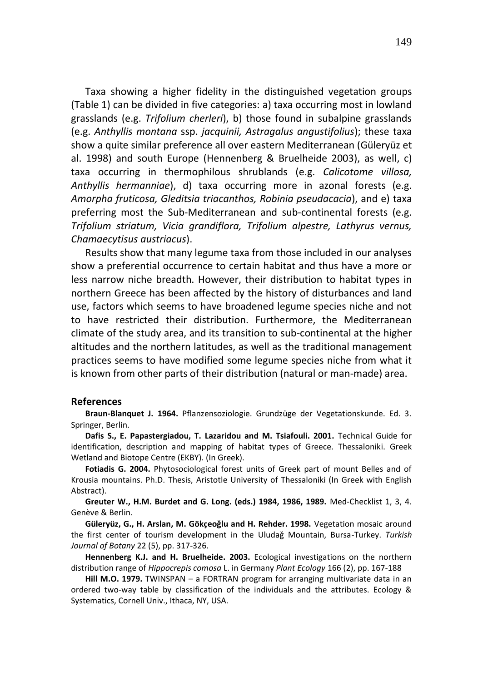Taxa showing a higher fidelity in the distinguished vegetation groups (Table 1) can be divided in five categories: a) taxa occurring most in lowland grasslands (e.g. *Trifolium cherleri*), b) those found in subalpine grasslands (e.g. *Anthyllis montana* ssp. *jacquinii, Astragalus angustifolius*); these taxa show a quite similar preference all over eastern Mediterranean (Güleryüz et al. 1998) and south Europe (Hennenberg & Bruelheide 2003), as well, c) taxa occurring in thermophilous shrublands (e.g. *Calicotome villosa, Anthyllis hermanniae*), d) taxa occurring more in azonal forests (e.g. *Amorpha fruticosa, Gleditsia triacanthos, Robinia pseudacacia*), and e) taxa preferring most the Sub-Mediterranean and sub-continental forests (e.g. *Trifolium striatum, Vicia grandiflora, Trifolium alpestre, Lathyrus vernus, Chamaecytisus austriacus*).

Results show that many legume taxa from those included in our analyses show a preferential occurrence to certain habitat and thus have a more or less narrow niche breadth. However, their distribution to habitat types in northern Greece has been affected by the history of disturbances and land use, factors which seems to have broadened legume species niche and not to have restricted their distribution. Furthermore, the Mediterranean climate of the study area, and its transition to sub-continental at the higher altitudes and the northern latitudes, as well as the traditional management practices seems to have modified some legume species niche from what it is known from other parts of their distribution (natural or man-made) area.

#### **References**

**Braun-Blanquet J. 1964.** Pflanzensoziologie. Grundzüge der Vegetationskunde. Ed. 3. Springer, Berlin.

**Dafis S., E. Papastergiadou, T. Lazaridou and M. Tsiafouli. 2001.** Technical Guide for identification, description and mapping of habitat types of Greece. Thessaloniki. Greek Wetland and Biotope Centre (EKBY). (In Greek).

**Fotiadis G. 2004.** Phytosociological forest units of Greek part of mount Belles and of Krousia mountains. Ph.D. Thesis, Aristotle University of Thessaloniki (In Greek with English Abstract).

**Greuter W., H.M. Burdet and G. Long. (eds.) 1984, 1986, 1989.** Med-Checklist 1, 3, 4. Genève & Berlin.

**Güleryüz, G., H. Arslan, M. Gökçeoǧlu and H. Rehder. 1998.** Vegetation mosaic around the first center of tourism development in the Uludağ Mountain, Bursa-Turkey. *Turkish Journal of Botany* 22 (5), pp. 317-326.

**Hennenberg K.J. and H. Bruelheide. 2003.** Ecological investigations on the northern distribution range of *Hippocrepis comosa* L. in Germany *Plant Ecology* 166 (2), pp. 167-188

**Hill M.O. 1979.** TWINSPAN – a FORTRAN program for arranging multivariate data in an ordered two-way table by classification of the individuals and the attributes. Ecology & Systematics, Cornell Univ., Ithaca, NY, USA.